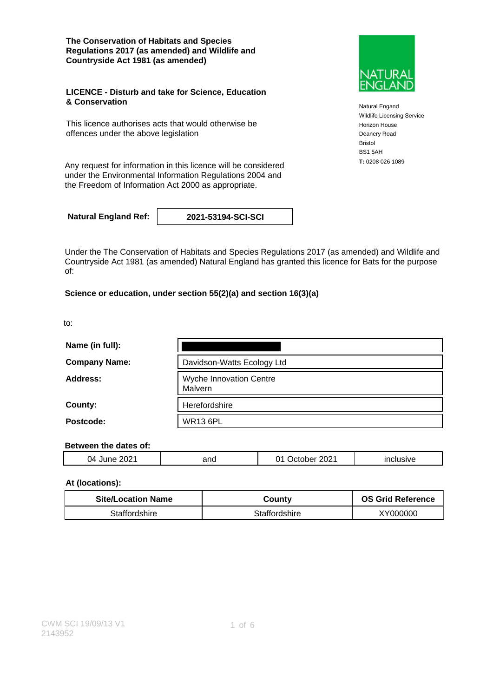**The Conservation of Habitats and Species Regulations 2017 (as amended) and Wildlife and Countryside Act 1981 (as amended)**

#### **LICENCE - Disturb and take for Science, Education & Conservation**

This licence authorises acts that would otherwise be offences under the above legislation

**T:** 0208 026 1089 Any request for information in this licence will be considered under the Environmental Information Regulations 2004 and the Freedom of Information Act 2000 as appropriate.

**Natural England Ref: 2021-53194-SCI-SCI**

Under the The Conservation of Habitats and Species Regulations 2017 (as amended) and Wildlife and Countryside Act 1981 (as amended) Natural England has granted this licence for Bats for the purpose of:

### **Science or education, under section 55(2)(a) and section 16(3)(a)**

to:

| Name (in full):      |                                           |
|----------------------|-------------------------------------------|
| <b>Company Name:</b> | Davidson-Watts Ecology Ltd                |
| Address:             | <b>Wyche Innovation Centre</b><br>Malvern |
| County:              | Herefordshire                             |
| Postcode:            | <b>WR13 6PL</b>                           |

#### **Between the dates of:**

| . הה<br>04<br>.<br>◡∠<br>$\sim$ | and | $202^*$<br>.).<br>$\mathbf{r}$<br>$ -$ | . |  |
|---------------------------------|-----|----------------------------------------|---|--|
|                                 |     |                                        |   |  |

### **At (locations):**

| <b>Site/Location Name</b> | County        | <b>OS Grid Reference</b> |
|---------------------------|---------------|--------------------------|
| Staffordshire             | Staffordshire | XY000000                 |



Natural Engand Wildlife Licensing Service Horizon House Deanery Road Bristol BS1 5AH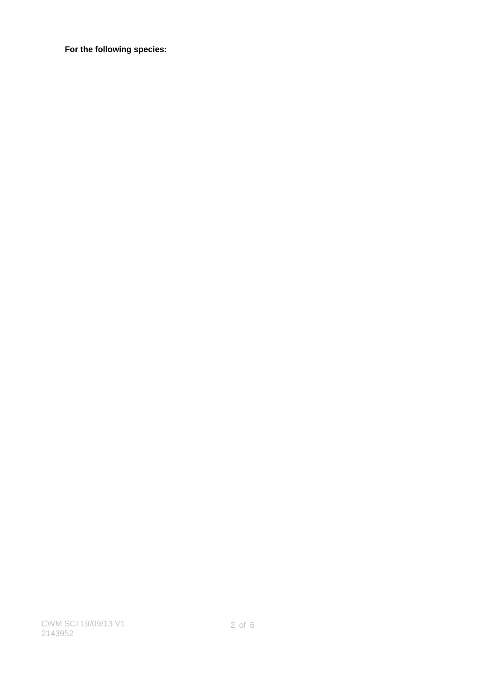**For the following species:**

CWM SCI 19/09/13 V1 2143952

2 of 6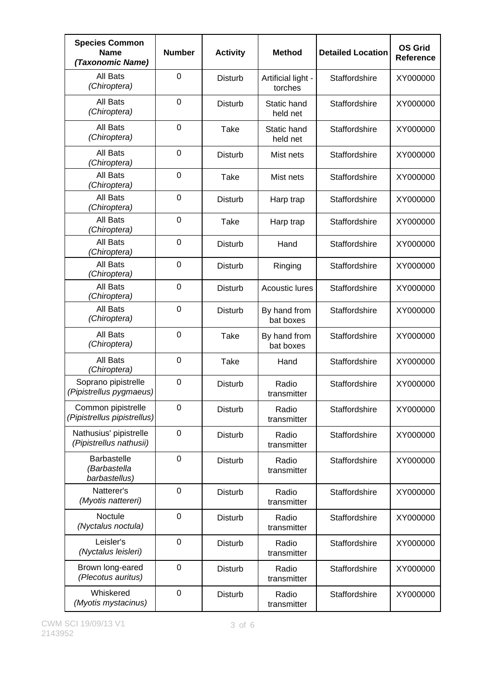| <b>Species Common</b><br><b>Name</b><br>(Taxonomic Name) | <b>Number</b>    | <b>Activity</b> | <b>Method</b>                 | <b>Detailed Location</b> | <b>OS Grid</b><br><b>Reference</b> |
|----------------------------------------------------------|------------------|-----------------|-------------------------------|--------------------------|------------------------------------|
| All Bats<br>(Chiroptera)                                 | 0                | <b>Disturb</b>  | Artificial light -<br>torches | Staffordshire            | XY000000                           |
| All Bats<br>(Chiroptera)                                 | $\mathbf 0$      | <b>Disturb</b>  | Static hand<br>held net       | Staffordshire            | XY000000                           |
| All Bats<br>(Chiroptera)                                 | 0                | Take            | Static hand<br>held net       | Staffordshire            | XY000000                           |
| All Bats<br>(Chiroptera)                                 | 0                | <b>Disturb</b>  | Mist nets                     | Staffordshire            | XY000000                           |
| All Bats<br>(Chiroptera)                                 | 0                | Take            | Mist nets                     | Staffordshire            | XY000000                           |
| All Bats<br>(Chiroptera)                                 | 0                | <b>Disturb</b>  | Harp trap                     | Staffordshire            | XY000000                           |
| All Bats<br>(Chiroptera)                                 | 0                | <b>Take</b>     | Harp trap                     | Staffordshire            | XY000000                           |
| All Bats<br>(Chiroptera)                                 | 0                | <b>Disturb</b>  | Hand                          | Staffordshire            | XY000000                           |
| All Bats<br>(Chiroptera)                                 | 0                | <b>Disturb</b>  | Ringing                       | Staffordshire            | XY000000                           |
| All Bats<br>(Chiroptera)                                 | 0                | <b>Disturb</b>  | <b>Acoustic lures</b>         | Staffordshire            | XY000000                           |
| All Bats<br>(Chiroptera)                                 | 0                | <b>Disturb</b>  | By hand from<br>bat boxes     | Staffordshire            | XY000000                           |
| All Bats<br>(Chiroptera)                                 | 0                | Take            | By hand from<br>bat boxes     | Staffordshire            | XY000000                           |
| All Bats<br>(Chiroptera)                                 | $\mathbf 0$      | Take            | Hand                          | Staffordshire            | XY000000                           |
| Soprano pipistrelle<br>(Pipistrellus pygmaeus)           | 0                | <b>Disturb</b>  | Radio<br>transmitter          | Staffordshire            | XY000000                           |
| Common pipistrelle<br>(Pipistrellus pipistrellus)        | 0                | <b>Disturb</b>  | Radio<br>transmitter          | Staffordshire            | XY000000                           |
| Nathusius' pipistrelle<br>(Pipistrellus nathusii)        | 0                | <b>Disturb</b>  | Radio<br>transmitter          | Staffordshire            | XY000000                           |
| <b>Barbastelle</b><br>(Barbastella<br>barbastellus)      | $\mathbf 0$      | <b>Disturb</b>  | Radio<br>transmitter          | Staffordshire            | XY000000                           |
| Natterer's<br>(Myotis nattereri)                         | 0                | <b>Disturb</b>  | Radio<br>transmitter          | Staffordshire            | XY000000                           |
| Noctule<br>(Nyctalus noctula)                            | 0                | <b>Disturb</b>  | Radio<br>transmitter          | Staffordshire            | XY000000                           |
| Leisler's<br>(Nyctalus leisleri)                         | $\mathbf 0$      | <b>Disturb</b>  | Radio<br>transmitter          | Staffordshire            | XY000000                           |
| Brown long-eared<br>(Plecotus auritus)                   | $\boldsymbol{0}$ | Disturb         | Radio<br>transmitter          | Staffordshire            | XY000000                           |
| Whiskered<br>(Myotis mystacinus)                         | 0                | <b>Disturb</b>  | Radio<br>transmitter          | Staffordshire            | XY000000                           |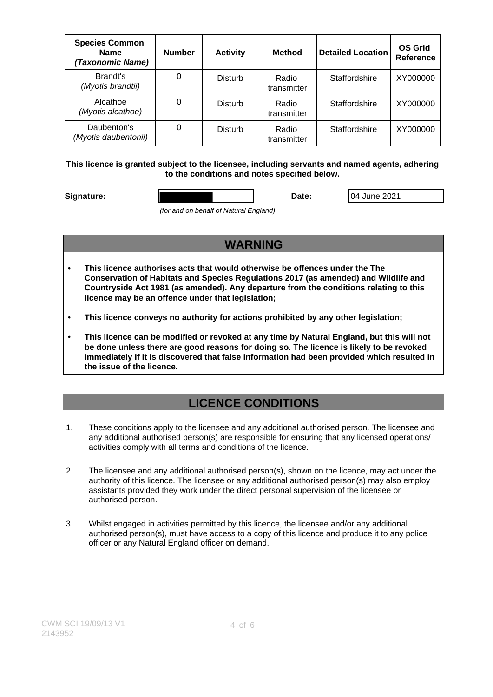| <b>Species Common</b><br><b>Name</b><br>(Taxonomic Name) | <b>Number</b> | <b>Activity</b> | <b>Method</b>        | <b>Detailed Location</b> | <b>OS Grid</b><br><b>Reference</b> |
|----------------------------------------------------------|---------------|-----------------|----------------------|--------------------------|------------------------------------|
| Brandt's<br>(Myotis brandtii)                            | 0             | <b>Disturb</b>  | Radio<br>transmitter | Staffordshire            | XY000000                           |
| Alcathoe<br>(Myotis alcathoe)                            | 0             | <b>Disturb</b>  | Radio<br>transmitter | Staffordshire            | XY000000                           |
| Daubenton's<br>(Myotis daubentonii)                      | 0             | <b>Disturb</b>  | Radio<br>transmitter | Staffordshire            | XY000000                           |

**This licence is granted subject to the licensee, including servants and named agents, adhering to the conditions and notes specified below.**

**Signature: Date:** 04 June 2021

(for and on behalf of Natural England)

### **WARNING**

- **This licence authorises acts that would otherwise be offences under the The Conservation of Habitats and Species Regulations 2017 (as amended) and Wildlife and Countryside Act 1981 (as amended). Any departure from the conditions relating to this licence may be an offence under that legislation;**
- **This licence conveys no authority for actions prohibited by any other legislation;**
- **This licence can be modified or revoked at any time by Natural England, but this will not be done unless there are good reasons for doing so. The licence is likely to be revoked immediately if it is discovered that false information had been provided which resulted in the issue of the licence.**

# **LICENCE CONDITIONS**

- 1. These conditions apply to the licensee and any additional authorised person. The licensee and any additional authorised person(s) are responsible for ensuring that any licensed operations/ activities comply with all terms and conditions of the licence.
- 2. The licensee and any additional authorised person(s), shown on the licence, may act under the authority of this licence. The licensee or any additional authorised person(s) may also employ assistants provided they work under the direct personal supervision of the licensee or authorised person.
- 3. Whilst engaged in activities permitted by this licence, the licensee and/or any additional authorised person(s), must have access to a copy of this licence and produce it to any police officer or any Natural England officer on demand.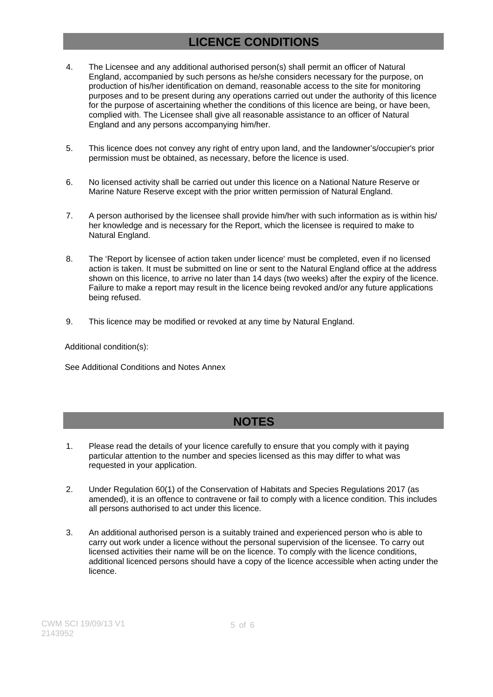## **LICENCE CONDITIONS**

- 4. The Licensee and any additional authorised person(s) shall permit an officer of Natural England, accompanied by such persons as he/she considers necessary for the purpose, on production of his/her identification on demand, reasonable access to the site for monitoring purposes and to be present during any operations carried out under the authority of this licence for the purpose of ascertaining whether the conditions of this licence are being, or have been, complied with. The Licensee shall give all reasonable assistance to an officer of Natural England and any persons accompanying him/her.
- 5. This licence does not convey any right of entry upon land, and the landowner's/occupier's prior permission must be obtained, as necessary, before the licence is used.
- 6. No licensed activity shall be carried out under this licence on a National Nature Reserve or Marine Nature Reserve except with the prior written permission of Natural England.
- 7. A person authorised by the licensee shall provide him/her with such information as is within his/ her knowledge and is necessary for the Report, which the licensee is required to make to Natural England.
- 8. The 'Report by licensee of action taken under licence' must be completed, even if no licensed action is taken. It must be submitted on line or sent to the Natural England office at the address shown on this licence, to arrive no later than 14 days (two weeks) after the expiry of the licence. Failure to make a report may result in the licence being revoked and/or any future applications being refused.
- 9. This licence may be modified or revoked at any time by Natural England.

Additional condition(s):

See Additional Conditions and Notes Annex

## **NOTES**

- 1. Please read the details of your licence carefully to ensure that you comply with it paying particular attention to the number and species licensed as this may differ to what was requested in your application.
- 2. Under Regulation 60(1) of the Conservation of Habitats and Species Regulations 2017 (as amended), it is an offence to contravene or fail to comply with a licence condition. This includes all persons authorised to act under this licence.
- 3. An additional authorised person is a suitably trained and experienced person who is able to carry out work under a licence without the personal supervision of the licensee. To carry out licensed activities their name will be on the licence. To comply with the licence conditions, additional licenced persons should have a copy of the licence accessible when acting under the licence.